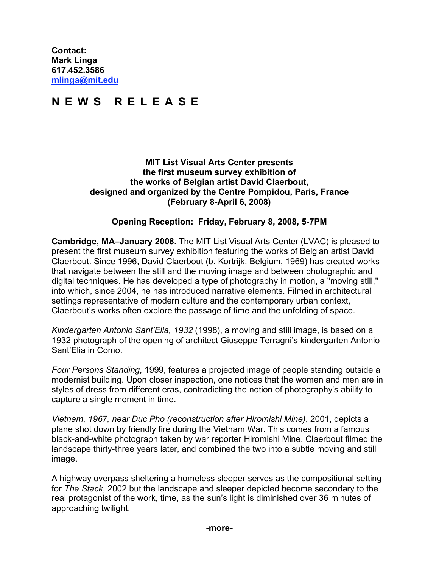**Contact: Mark Linga [617.452.3586](tel:6174523586) [mlinga@mit.edu](mailto:mlinga@mit.edu)**

## **N E W S R E L E A S E**

## **MIT List Visual Arts Center presents the first museum survey exhibition of the works of Belgian artist David Claerbout, designed and organized by the Centre Pompidou, Paris, France (February 8-April 6, 2008)**

## **Opening Reception: Friday, February 8, 2008, 5-7PM**

**Cambridge, MA–January 2008.** The MIT List Visual Arts Center (LVAC) is pleased to present the first museum survey exhibition featuring the works of Belgian artist David Claerbout. Since 1996, David Claerbout (b. Kortrijk, Belgium, 1969) has created works that navigate between the still and the moving image and between photographic and digital techniques. He has developed a type of photography in motion, a "moving still," into which, since 2004, he has introduced narrative elements. Filmed in architectural settings representative of modern culture and the contemporary urban context, Claerbout's works often explore the passage of time and the unfolding of space.

*Kindergarten Antonio Sant'Elia, 1932* (1998), a moving and still image, is based on a 1932 photograph of the opening of architect Giuseppe Terragni's kindergarten Antonio Sant'Elia in Como.

*Four Persons Standing*, 1999, features a projected image of people standing outside a modernist building. Upon closer inspection, one notices that the women and men are in styles of dress from different eras, contradicting the notion of photography's ability to capture a single moment in time.

*Vietnam, 1967, near Duc Pho (reconstruction after Hiromishi Mine)*, 2001, depicts a plane shot down by friendly fire during the Vietnam War. This comes from a famous black-and-white photograph taken by war reporter Hiromishi Mine. Claerbout filmed the landscape thirty-three years later, and combined the two into a subtle moving and still image.

A highway overpass sheltering a homeless sleeper serves as the compositional setting for *The Stack*, 2002 but the landscape and sleeper depicted become secondary to the real protagonist of the work, time, as the sun's light is diminished over 36 minutes of approaching twilight.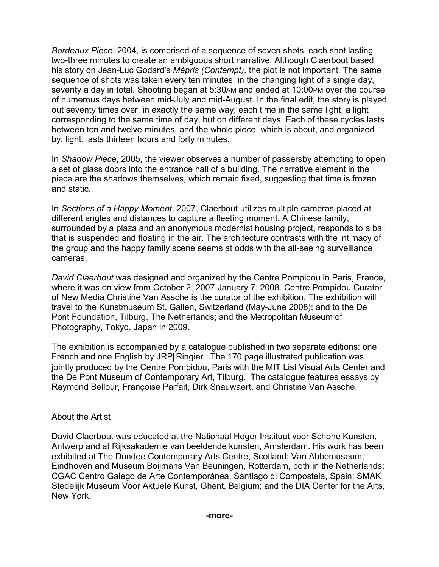*Bordeaux Piece*, 2004, is comprised of a sequence of seven shots, each shot lasting two-three minutes to create an ambiguous short narrative. Although Claerbout based his story on Jean-Luc Godard's *Mépris (Contempt),* the plot is not important*.* The same sequence of shots was taken every ten minutes, in the changing light of a single day, seventy a day in total. Shooting began at 5:30AM and ended at 10:00PM over the course of numerous days between mid-July and mid-August. In the final edit, the story is played out seventy times over, in exactly the same way, each time in the same light, a light corresponding to the same time of day, but on different days. Each of these cycles lasts between ten and twelve minutes, and the whole piece, which is about, and organized by, light, lasts thirteen hours and forty minutes.

In *Shadow Piece*, 2005, the viewer observes a number of passersby attempting to open a set of glass doors into the entrance hall of a building. The narrative element in the piece are the shadows themselves, which remain fixed, suggesting that time is frozen and static.

In *Sections of a Happy Moment*, 2007, Claerbout utilizes multiple cameras placed at different angles and distances to capture a fleeting moment. A Chinese family, surrounded by a plaza and an anonymous modernist housing project, responds to a ball that is suspended and floating in the air. The architecture contrasts with the intimacy of the group and the happy family scene seems at odds with the all-seeing surveillance cameras.

*David Claerbout* was designed and organized by the Centre Pompidou in Paris, France, where it was on view from October 2, 2007-January 7, 2008. Centre Pompidou Curator of New Media Christine Van Assche is the curator of the exhibition. The exhibition will travel to the Kunstmuseum St. Gallen, Switzerland (May-June 2008); and to the De Pont Foundation, Tilburg, The Netherlands; and the Metropolitan Museum of Photography, Tokyo, Japan in 2009.

The exhibition is accompanied by a catalogue published in two separate editions: one French and one English by JRP Ringier. The 170 page illustrated publication was jointly produced by the Centre Pompidou, Paris with the MIT List Visual Arts Center and the De Pont Museum of Contemporary Art, Tilburg. The catalogue features essays by Raymond Bellour, Françoise Parfait, Dirk Snauwaert, and Christine Van Assche.

## About the Artist

David Claerbout was educated at the Nationaal Hoger Instituut voor Schone Kunsten, Antwerp and at Rijksakademie van beeldende kunsten, Amsterdam. His work has been exhibited at The Dundee Contemporary Arts Centre, Scotland; Van Abbemuseum, Eindhoven and Museum Boijmans Van Beuningen, Rotterdam, both in the Netherlands; CGAC Centro Galego de Arte Contemporánea, Santiago di Compostela, Spain; SMAK Stedelijk Museum Voor Aktuele Kunst, Ghent, Belgium; and the DIA Center for the Arts, New York.